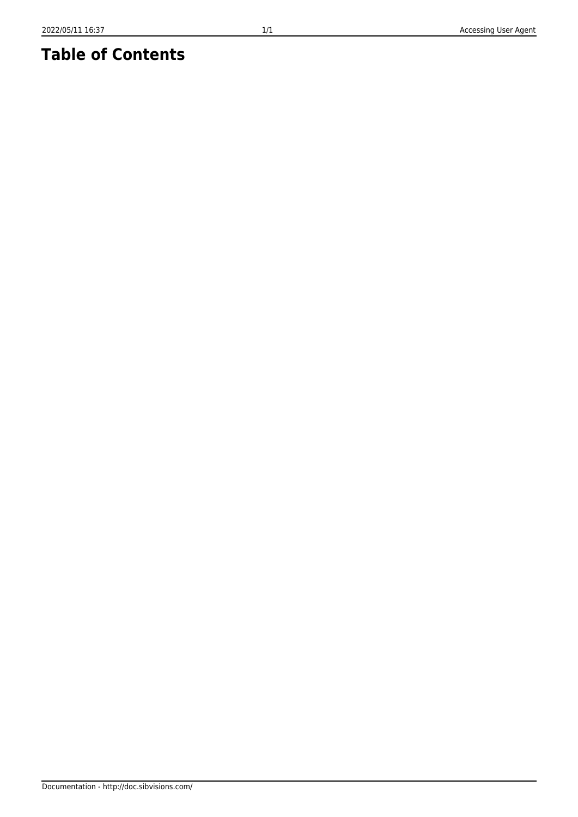Documentation - http://doc.sibvisions.com/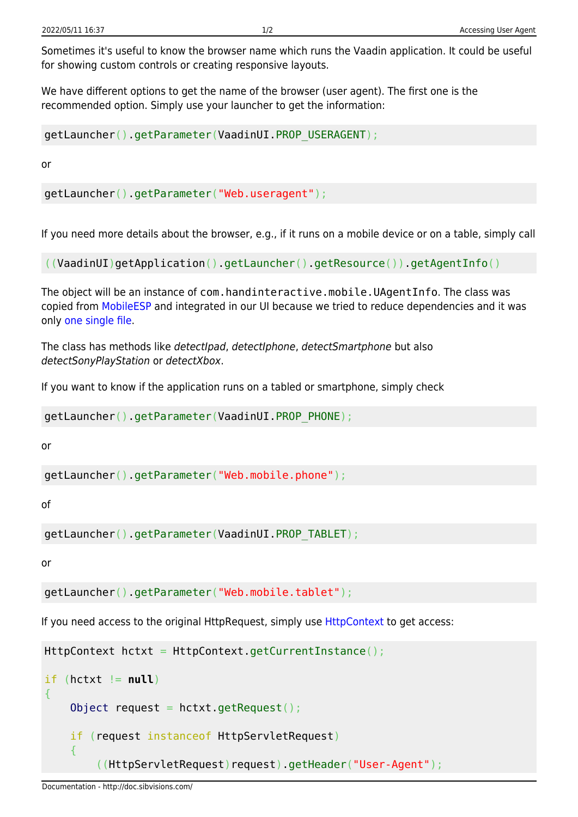Sometimes it's useful to know the browser name which runs the Vaadin application. It could be useful for showing custom controls or creating responsive layouts.

We have different options to get the name of the browser (user agent). The first one is the recommended option. Simply use your launcher to get the information:

```
getLauncher().getParameter(VaadinUI.PROP_USERAGENT);
```
or

getLauncher().getParameter("Web.useragent");

If you need more details about the browser, e.g., if it runs on a mobile device or on a table, simply call

((VaadinUI)getApplication().getLauncher().getResource()).getAgentInfo()

The object will be an instance of com.handinteractive.mobile.UAgentInfo. The class was copied from [MobileESP](http://blog.mobileesp.com/) and integrated in our UI because we tried to reduce dependencies and it was only [one single file.](https://code.google.com/p/mobileesp/source/browse/Java/UAgentInfo.java)

The class has methods like detectIpad, detectIphone, detectSmartphone but also detectSonyPlayStation or detectXbox.

If you want to know if the application runs on a tabled or smartphone, simply check

getLauncher().getParameter(VaadinUI.PROP\_PHONE);

or

getLauncher().getParameter("Web.mobile.phone");

of

```
getLauncher().getParameter(VaadinUI.PROP_TABLET);
```
or

```
getLauncher().getParameter("Web.mobile.tablet");
```
If you need access to the original HttpRequest, simply use [HttpContext](http://doc.sibvisions.com/jvx/common/util/httpcontext) to get access:

```
HttpContext hctxt = HttpContext.getCurrentInstance();
```

```
if (hctxt != null)
{
    Object request = hctxt.getRequest();
     if (request instanceof HttpServletRequest)
     {
         ((HttpServletRequest)request).getHeader("User-Agent");
```